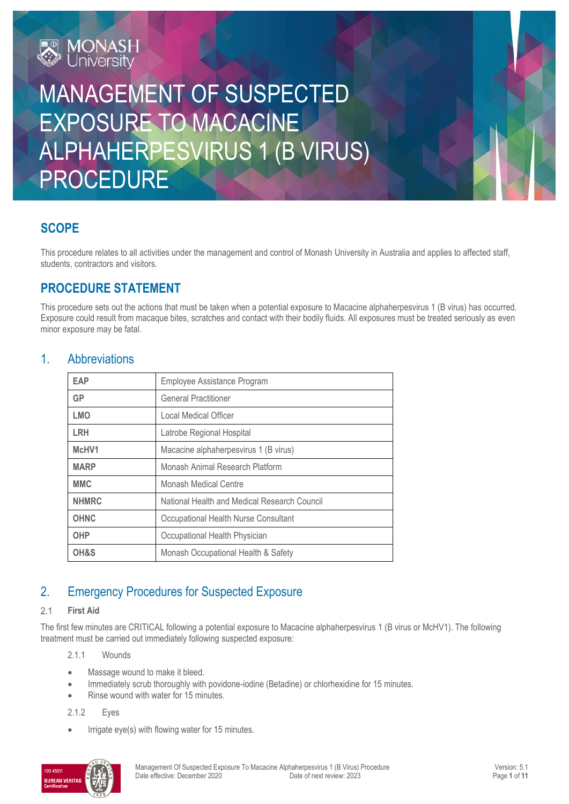

# MANAGEMENT OF SUSPECTED EXPOSURE TO MACACINE ALPHAHERPESVIRUS 1 (B VIRUS) PROCEDURE

# **SCOPE**

This procedure relates to all activities under the management and control of Monash University in Australia and applies to affected staff, students, contractors and visitors.

# **PROCEDURE STATEMENT**

This procedure sets out the actions that must be taken when a potential exposure to Macacine alphaherpesvirus 1 (B virus) has occurred. Exposure could result from macaque bites, scratches and contact with their bodily fluids. All exposures must be treated seriously as even minor exposure may be fatal.

### 1. Abbreviations

| <b>EAP</b>   | Employee Assistance Program                  |
|--------------|----------------------------------------------|
| <b>GP</b>    | <b>General Practitioner</b>                  |
| <b>LMO</b>   | Local Medical Officer                        |
| <b>LRH</b>   | Latrobe Regional Hospital                    |
| McHV1        | Macacine alphaherpesvirus 1 (B virus)        |
| <b>MARP</b>  | Monash Animal Research Platform              |
| <b>MMC</b>   | <b>Monash Medical Centre</b>                 |
| <b>NHMRC</b> | National Health and Medical Research Council |
| <b>OHNC</b>  | Occupational Health Nurse Consultant         |
| <b>OHP</b>   | Occupational Health Physician                |
| OH&S         | Monash Occupational Health & Safety          |

# 2. Emergency Procedures for Suspected Exposure

#### $2.1$ **First Aid**

The first few minutes are CRITICAL following a potential exposure to Macacine alphaherpesvirus 1 (B virus or McHV1). The following treatment must be carried out immediately following suspected exposure:

2.1.1 Wounds

- Massage wound to make it bleed.
- Immediately scrub thoroughly with povidone-iodine (Betadine) or chlorhexidine for 15 minutes.
- Rinse wound with water for 15 minutes.

2.1.2 Eyes

Irrigate eye(s) with flowing water for 15 minutes.

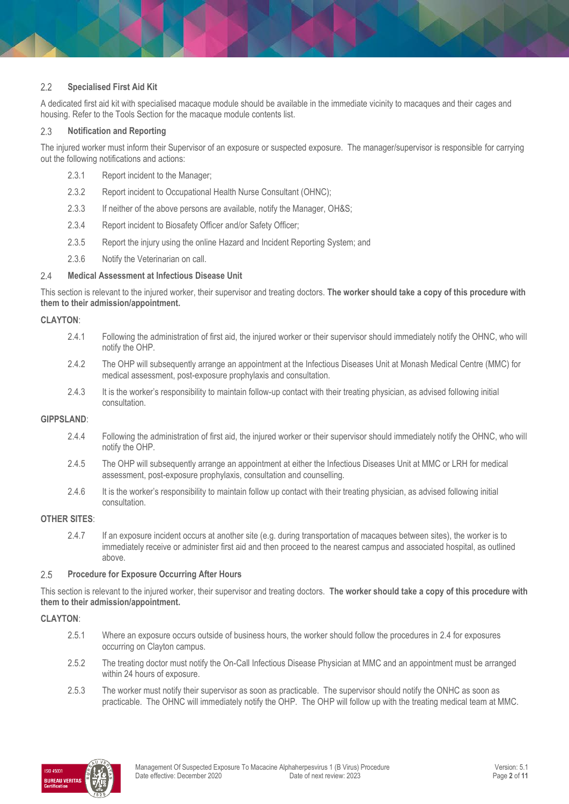#### $2.2$ **Specialised First Aid Kit**

A dedicated first aid kit with specialised macaque module should be available in the immediate vicinity to macaques and their cages and housing. Refer to the Tools Section for the macaque module contents list.

#### 2.3 **Notification and Reporting**

The injured worker must inform their Supervisor of an exposure or suspected exposure. The manager/supervisor is responsible for carrying out the following notifications and actions:

- 2.3.1 Report incident to the Manager;
- 2.3.2 Report incident to Occupational Health Nurse Consultant (OHNC);
- 2.3.3 If neither of the above persons are available, notify the Manager, OH&S;
- 2.3.4 Report incident to Biosafety Officer and/or Safety Officer;
- 2.3.5 Report the injury using the online Hazard and Incident Reporting System; and
- 2.3.6 Notify the Veterinarian on call.

#### $2.4$ **Medical Assessment at Infectious Disease Unit**

This section is relevant to the injured worker, their supervisor and treating doctors. **The worker should take a copy of this procedure with them to their admission/appointment.**

### **CLAYTON**:

- 2.4.1 Following the administration of first aid, the injured worker or their supervisor should immediately notify the OHNC, who will notify the OHP.
- 2.4.2 The OHP will subsequently arrange an appointment at the Infectious Diseases Unit at Monash Medical Centre (MMC) for medical assessment, post-exposure prophylaxis and consultation.
- 2.4.3 It is the worker's responsibility to maintain follow-up contact with their treating physician, as advised following initial consultation.

#### **GIPPSLAND**:

- 2.4.4 Following the administration of first aid, the injured worker or their supervisor should immediately notify the OHNC, who will notify the OHP.
- 2.4.5 The OHP will subsequently arrange an appointment at either the Infectious Diseases Unit at MMC or LRH for medical assessment, post-exposure prophylaxis, consultation and counselling.
- 2.4.6 It is the worker's responsibility to maintain follow up contact with their treating physician, as advised following initial consultation.

### **OTHER SITES**:

2.4.7 If an exposure incident occurs at another site (e.g. during transportation of macaques between sites), the worker is to immediately receive or administer first aid and then proceed to the nearest campus and associated hospital, as outlined above.

#### 2.5 **Procedure for Exposure Occurring After Hours**

This section is relevant to the injured worker, their supervisor and treating doctors. **The worker should take a copy of this procedure with them to their admission/appointment.**

#### **CLAYTON**:

- 2.5.1 Where an exposure occurs outside of business hours, the worker should follow the procedures in 2.4 for exposures occurring on Clayton campus.
- 2.5.2 The treating doctor must notify the On-Call Infectious Disease Physician at MMC and an appointment must be arranged within 24 hours of exposure.
- 2.5.3 The worker must notify their supervisor as soon as practicable. The supervisor should notify the ONHC as soon as practicable. The OHNC will immediately notify the OHP. The OHP will follow up with the treating medical team at MMC.

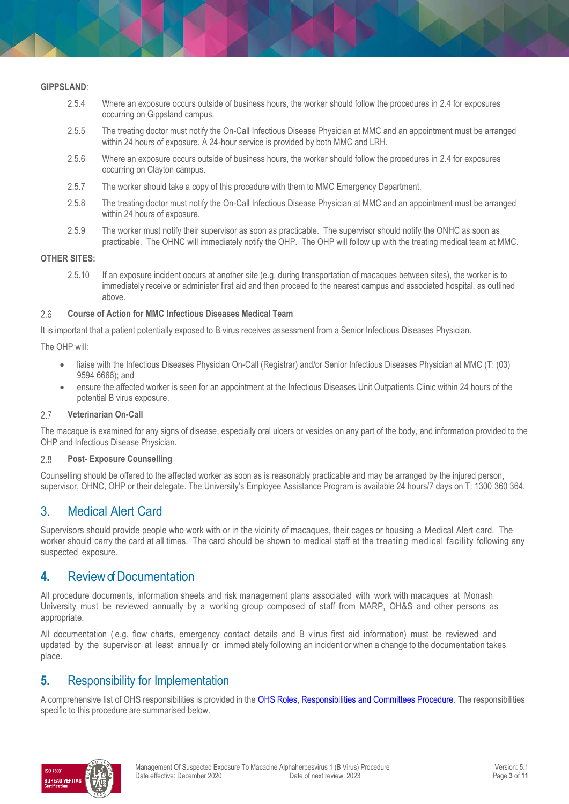#### **GIPPSLAND**:

- 2.5.4 Where an exposure occurs outside of business hours, the worker should follow the procedures in 2.4 for exposures occurring on Gippsland campus.
- 2.5.5 The treating doctor must notify the On-Call Infectious Disease Physician at MMC and an appointment must be arranged within 24 hours of exposure. A 24-hour service is provided by both MMC and LRH.
- 2.5.6 Where an exposure occurs outside of business hours, the worker should follow the procedures in 2.4 for exposures occurring on Clayton campus.
- 2.5.7 The worker should take a copy of this procedure with them to MMC Emergency Department.
- 2.5.8 The treating doctor must notify the On-Call Infectious Disease Physician at MMC and an appointment must be arranged within 24 hours of exposure.
- 2.5.9 The worker must notify their supervisor as soon as practicable. The supervisor should notify the ONHC as soon as practicable. The OHNC will immediately notify the OHP. The OHP will follow up with the treating medical team at MMC.

#### **OTHER SITES:**

2.5.10 If an exposure incident occurs at another site (e.g. during transportation of macaques between sites), the worker is to immediately receive or administer first aid and then proceed to the nearest campus and associated hospital, as outlined above.

#### 2.6 **Course of Action for MMC Infectious Diseases Medical Team**

It is important that a patient potentially exposed to B virus receives assessment from a Senior Infectious Diseases Physician.

The OHP will:

- liaise with the Infectious Diseases Physician On-Call (Registrar) and/or Senior Infectious Diseases Physician at MMC (T: (03) 9594 6666); and
- ensure the affected worker is seen for an appointment at the Infectious Diseases Unit Outpatients Clinic within 24 hours of the potential B virus exposure.

#### 2.7 **Veterinarian On-Call**

The macaque is examined for any signs of disease, especially oral ulcers or vesicles on any part of the body, and information provided to the OHP and Infectious Disease Physician.

#### 2.8 **Post- Exposure Counselling**

Counselling should be offered to the affected worker as soon as is reasonably practicable and may be arranged by the injured person, supervisor, OHNC, OHP or their delegate. The University's Employee Assistance Program is available 24 hours/7 days on T: 1300 360 364.

# 3. Medical Alert Card

Supervisors should provide people who work with or in the vicinity of macaques, their cages or housing a Medical Alert card. The worker should carry the card at all times. The card should be shown to medical staff at the treating medical facility following any suspected exposure.

## **4.** Review of Documentation

All procedure documents, information sheets and risk management plans associated with work with macaques at Monash University must be reviewed annually by a working group composed of staff from MARP, OH&S and other persons as appropriate.

All documentation ( e.g. flow charts, emergency contact details and B v irus first aid information) must be reviewed and updated by the supervisor at least annually or immediately following an incident or when a change to the documentation takes place.

# **5.** Responsibility for Implementation

A comprehensive list of OHS responsibilities is provided in the [OHS Roles, Responsibilities and Committees Procedure.](https://publicpolicydms.monash.edu/Monash/documents/1935644) The responsibilities specific to this procedure are summarised below.

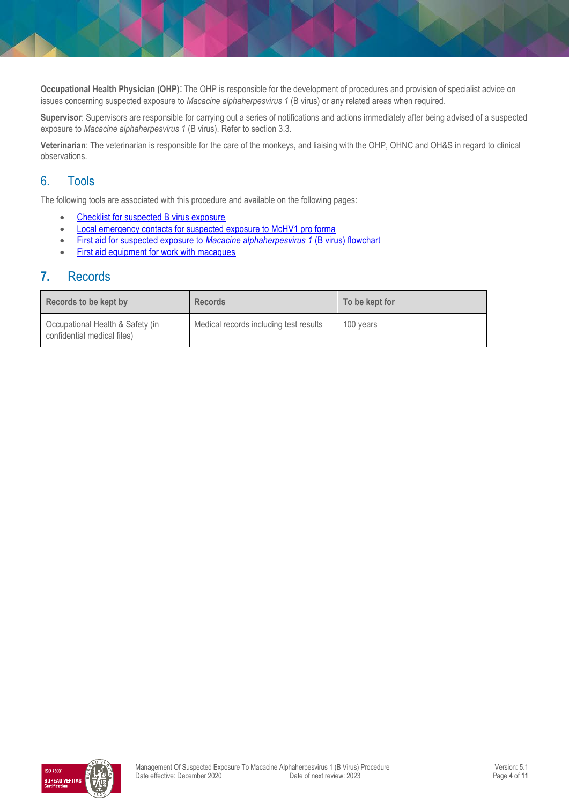**Occupational Health Physician (OHP)**: The OHP is responsible for the development of procedures and provision of specialist advice on issues concerning suspected exposure to *Macacine alphaherpesvirus 1* (B virus) or any related areas when required.

**Supervisor**: Supervisors are responsible for carrying out a series of notifications and actions immediately after being advised of a suspected exposure to *Macacine alphaherpesvirus 1* (B virus). Refer to section 3.3.

**Veterinarian**: The veterinarian is responsible for the care of the monkeys, and liaising with the OHP, OHNC and OH&S in regard to clinical observations.

# 6. Tools

The following tools are associated with this procedure and available on the following pages:

- [Checklist for suspected B virus exposure](#page-4-0)
- [Local emergency contacts for suspected exposure to McHV1 pro forma](#page-5-0)
- First aid for suspected exposure to *Macacine alphaherpesvirus 1* (B virus) flowchart
- [First aid equipment for work with macaques](#page-7-0)

## **7.** Records

| Records to be kept by                                           | <b>Records</b>                         | To be kept for |
|-----------------------------------------------------------------|----------------------------------------|----------------|
| Occupational Health & Safety (in<br>confidential medical files) | Medical records including test results | 100 years      |

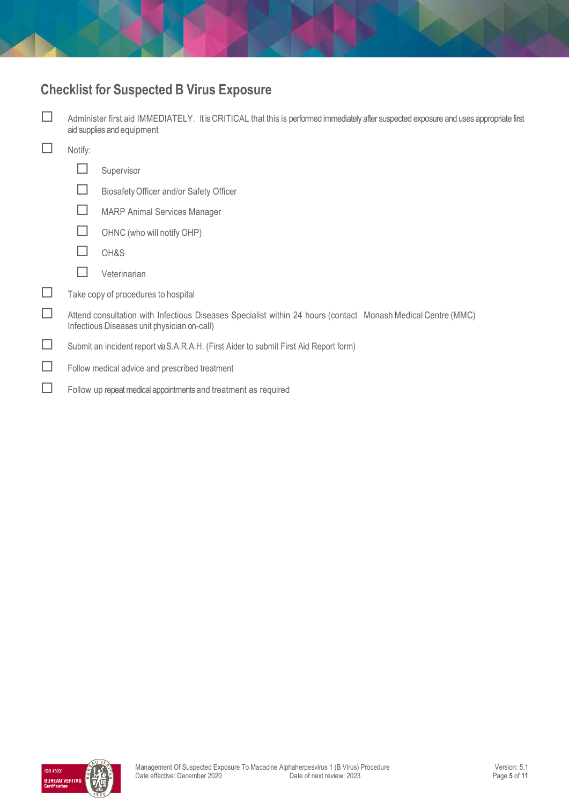# <span id="page-4-0"></span>**Checklist for Suspected B Virus Exposure**

| Administer first aid IMMEDIATELY. It is CRITICAL that this is performed immediately after suspected exposure and uses appropriate first<br>aid supplies and equipment |                                         |
|-----------------------------------------------------------------------------------------------------------------------------------------------------------------------|-----------------------------------------|
| Notify:                                                                                                                                                               |                                         |
|                                                                                                                                                                       | Supervisor                              |
| H                                                                                                                                                                     | Biosafety Officer and/or Safety Officer |
|                                                                                                                                                                       | <b>MARP Animal Services Manager</b>     |
|                                                                                                                                                                       | OHNC (who will notify OHP)              |
|                                                                                                                                                                       | OH&S                                    |
|                                                                                                                                                                       | Veterinarian                            |
|                                                                                                                                                                       | Take copy of procedures to hospital     |
| Attend consultation with Infectious Diseases Specialist within 24 hours (contact Monash Medical Centre (MMC)<br>Infectious Diseases unit physician on-call)           |                                         |
| Submit an incident report via S.A.R.A.H. (First Aider to submit First Aid Report form)                                                                                |                                         |
| Follow medical advice and prescribed treatment                                                                                                                        |                                         |
| Follow up repeat medical appointments and treatment as required                                                                                                       |                                         |

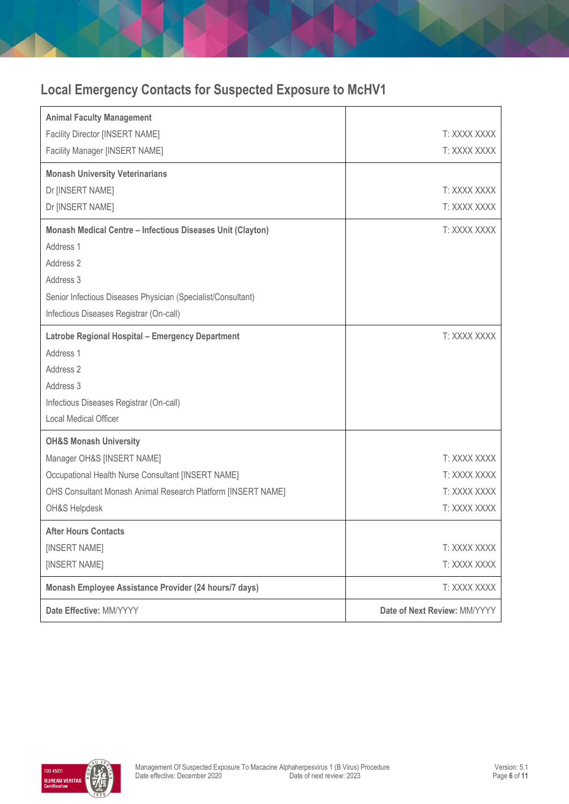# <span id="page-5-0"></span>**Local Emergency Contacts for Suspected Exposure to McHV1**

| <b>Animal Faculty Management</b>                             |                              |
|--------------------------------------------------------------|------------------------------|
| Facility Director [INSERT NAME]                              | T: XXXX XXXX                 |
| Facility Manager [INSERT NAME]                               | T: XXXX XXXX                 |
| <b>Monash University Veterinarians</b>                       |                              |
| Dr [INSERT NAME]                                             | T: XXXX XXXX                 |
| Dr [INSERT NAME]                                             | T: XXXX XXXX                 |
| Monash Medical Centre - Infectious Diseases Unit (Clayton)   | T: XXXX XXXX                 |
| Address 1                                                    |                              |
| Address 2                                                    |                              |
| Address 3                                                    |                              |
| Senior Infectious Diseases Physician (Specialist/Consultant) |                              |
| Infectious Diseases Registrar (On-call)                      |                              |
| <b>Latrobe Regional Hospital - Emergency Department</b>      | T: XXXX XXXX                 |
| Address 1                                                    |                              |
| Address 2                                                    |                              |
| Address 3                                                    |                              |
| Infectious Diseases Registrar (On-call)                      |                              |
| Local Medical Officer                                        |                              |
| <b>OH&amp;S Monash University</b>                            |                              |
| Manager OH&S [INSERT NAME]                                   | T: XXXX XXXX                 |
| Occupational Health Nurse Consultant [INSERT NAME]           | T: XXXX XXXX                 |
| OHS Consultant Monash Animal Research Platform [INSERT NAME] | T: XXXX XXXX                 |
| OH&S Helpdesk                                                | T: XXXX XXXX                 |
| <b>After Hours Contacts</b>                                  |                              |
| [INSERT NAME]                                                | T: XXXX XXXX                 |
| [INSERT NAME]                                                | T: XXXX XXXX                 |
| Monash Employee Assistance Provider (24 hours/7 days)        | T: XXXX XXXX                 |
| Date Effective: MM/YYYY                                      | Date of Next Review: MM/YYYY |

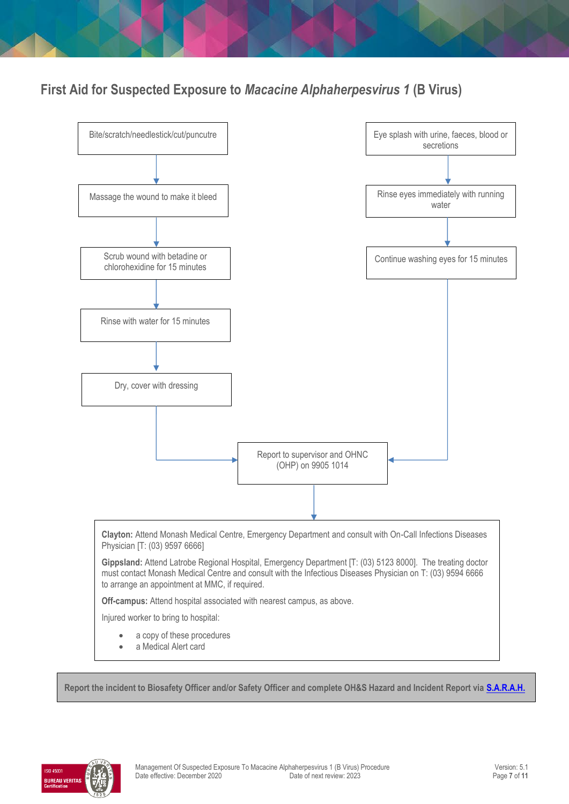**First Aid for Suspected Exposure to** *Macacine Alphaherpesvirus 1* **(B Virus)**



**Report the incident to Biosafety Officer and/or Safety Officer and complete OH&S Hazard and Incident Report via [S.A.R.A.H.](https://riskcloud.net/prod/?ccode=monash)**

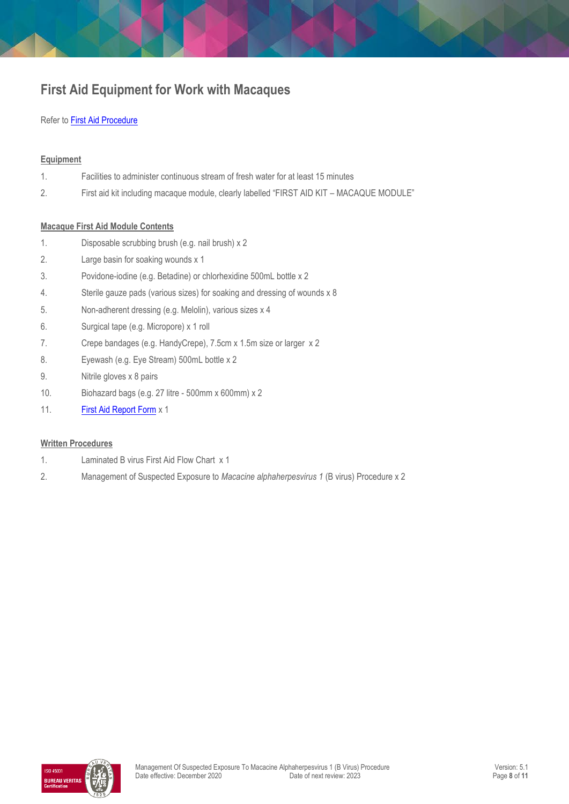# <span id="page-7-0"></span>**First Aid Equipment for Work with Macaques**

### Refer to [First Aid Procedure](https://publicpolicydms.monash.edu/Monash/documents/1935610)

### **Equipment**

| 1 | Facilities to administer continuous stream of fresh water for at least 15 minutes         |
|---|-------------------------------------------------------------------------------------------|
|   | First aid kit including macaque module, clearly labelled "FIRST AID KIT - MACAQUE MODULE" |
|   |                                                                                           |

### **Macaque First Aid Module Contents**

- 1. Disposable scrubbing brush (e.g. nail brush) x 2
- 2. Large basin for soaking wounds x 1
- 3. Povidone-iodine (e.g. Betadine) or chlorhexidine 500mL bottle x 2
- 4. Sterile gauze pads (various sizes) for soaking and dressing of wounds x 8
- 5. Non-adherent dressing (e.g. Melolin), various sizes x 4
- 6. Surgical tape (e.g. Micropore) x 1 roll
- 7. Crepe bandages (e.g. HandyCrepe), 7.5cm x 1.5m size or larger x 2
- 8. Eyewash (e.g. Eye Stream) 500mL bottle x 2
- 9. Nitrile gloves x 8 pairs
- 10. Biohazard bags (e.g. 27 litre 500mm x 600mm) x 2
- 11. **[First Aid Report Form](https://www.monash.edu/__data/assets/pdf_file/0004/188644/Monash-University-First-Aid-Report-Form-Controlled-Document-August-2016.pdf)** x 1

### **Written Procedures**

- 1. Laminated B virus First Aid Flow Chart x 1
- 2. Management of Suspected Exposure to *Macacine alphaherpesvirus 1* (B virus) Procedure x 2

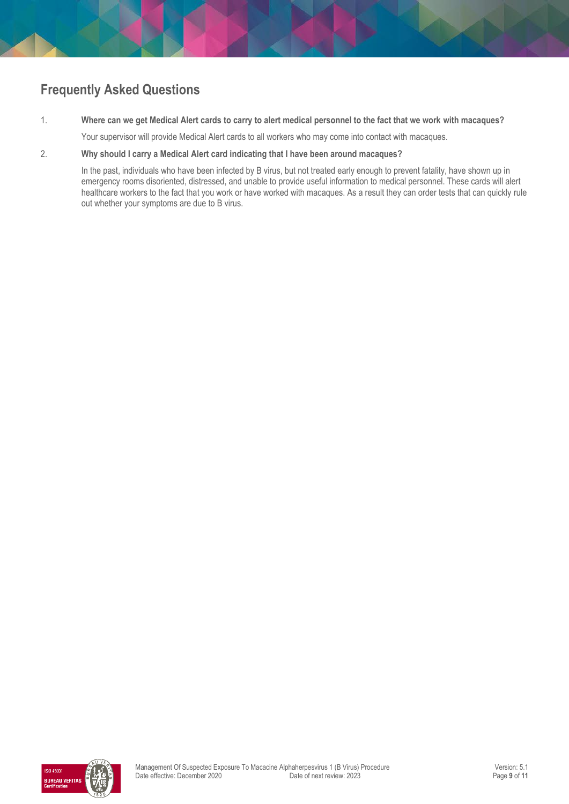# **Frequently Asked Questions**

1. **Where can we get Medical Alert cards to carry to alert medical personnel to the fact that we work with macaques?**

Your supervisor will provide Medical Alert cards to all workers who may come into contact with macaques.

#### 2. **Why should I carry a Medical Alert card indicating that I have been around macaques?**

In the past, individuals who have been infected by B virus, but not treated early enough to prevent fatality, have shown up in emergency rooms disoriented, distressed, and unable to provide useful information to medical personnel. These cards will alert healthcare workers to the fact that you work or have worked with macaques. As a result they can order tests that can quickly rule out whether your symptoms are due to B virus.

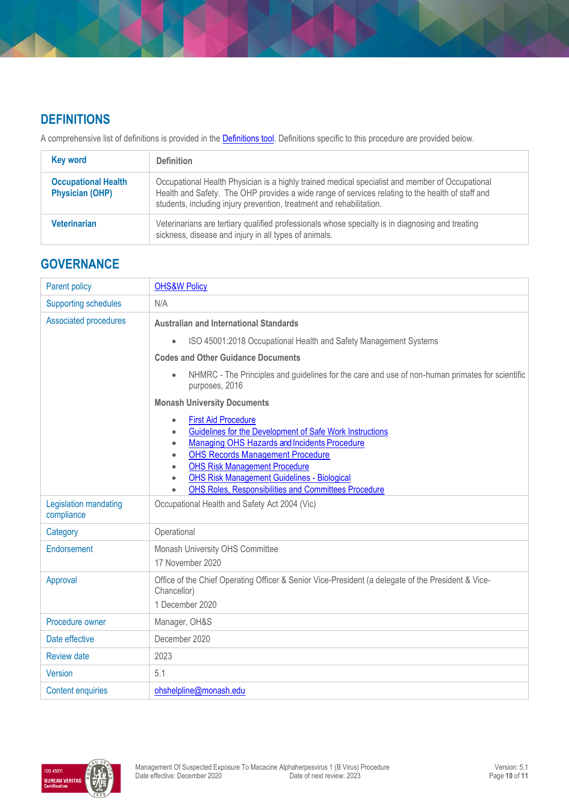# **DEFINITIONS**

A comprehensive list of definitions is provided in the **Definitions tool**. Definitions specific to this procedure are provided below.

| <b>Key word</b>                                      | <b>Definition</b>                                                                                                                                                                                                                                                           |
|------------------------------------------------------|-----------------------------------------------------------------------------------------------------------------------------------------------------------------------------------------------------------------------------------------------------------------------------|
| <b>Occupational Health</b><br><b>Physician (OHP)</b> | Occupational Health Physician is a highly trained medical specialist and member of Occupational<br>Health and Safety. The OHP provides a wide range of services relating to the health of staff and<br>students, including injury prevention, treatment and rehabilitation. |
| <b>Veterinarian</b>                                  | Veterinarians are tertiary qualified professionals whose specialty is in diagnosing and treating<br>sickness, disease and injury in all types of animals.                                                                                                                   |

# **GOVERNANCE**

| Parent policy                                                                 | <b>OHS&amp;W Policy</b>                                                                                                                                                                                                                                                                                                                                                        |  |
|-------------------------------------------------------------------------------|--------------------------------------------------------------------------------------------------------------------------------------------------------------------------------------------------------------------------------------------------------------------------------------------------------------------------------------------------------------------------------|--|
| <b>Supporting schedules</b>                                                   | N/A                                                                                                                                                                                                                                                                                                                                                                            |  |
| <b>Associated procedures</b><br><b>Australian and International Standards</b> |                                                                                                                                                                                                                                                                                                                                                                                |  |
|                                                                               | ISO 45001:2018 Occupational Health and Safety Management Systems                                                                                                                                                                                                                                                                                                               |  |
|                                                                               | <b>Codes and Other Guidance Documents</b>                                                                                                                                                                                                                                                                                                                                      |  |
|                                                                               | NHMRC - The Principles and guidelines for the care and use of non-human primates for scientific<br>$\bullet$<br>purposes, 2016                                                                                                                                                                                                                                                 |  |
|                                                                               | <b>Monash University Documents</b>                                                                                                                                                                                                                                                                                                                                             |  |
|                                                                               | <b>First Aid Procedure</b><br>$\bullet$<br>Guidelines for the Development of Safe Work Instructions<br>$\bullet$<br>Managing OHS Hazards and Incidents Procedure<br>$\bullet$<br><b>OHS Records Management Procedure</b><br><b>OHS Risk Management Procedure</b><br><b>OHS Risk Management Guidelines - Biological</b><br>OHS Roles, Responsibilities and Committees Procedure |  |
| Legislation mandating<br>compliance                                           | Occupational Health and Safety Act 2004 (Vic)                                                                                                                                                                                                                                                                                                                                  |  |
| Category                                                                      | Operational                                                                                                                                                                                                                                                                                                                                                                    |  |
| Endorsement                                                                   | Monash University OHS Committee<br>17 November 2020                                                                                                                                                                                                                                                                                                                            |  |
| Approval                                                                      | Office of the Chief Operating Officer & Senior Vice-President (a delegate of the President & Vice-<br>Chancellor)<br>1 December 2020                                                                                                                                                                                                                                           |  |
| Procedure owner                                                               | Manager, OH&S                                                                                                                                                                                                                                                                                                                                                                  |  |
| Date effective                                                                | December 2020                                                                                                                                                                                                                                                                                                                                                                  |  |
| <b>Review date</b>                                                            | 2023                                                                                                                                                                                                                                                                                                                                                                           |  |
| Version                                                                       | 5.1                                                                                                                                                                                                                                                                                                                                                                            |  |
| <b>Content enquiries</b>                                                      | ohshelpline@monash.edu                                                                                                                                                                                                                                                                                                                                                         |  |